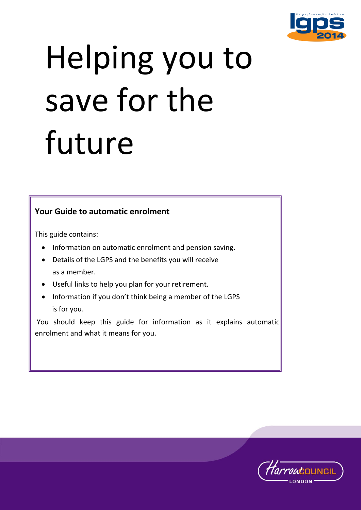

# $H \Omega$ Helping you to save for the future

# **Your Guide to automatic enrolment**

This guide contains:

- Information on automatic enrolment and pension saving.
- Details of the LGPS and the benefits you will receive as a member.
- Useful links to help you plan for your retirement.
- Information if you don't think being a member of the LGPS is for you.

You should keep this guide for information as it explains automatic enrolment and what it means for you.

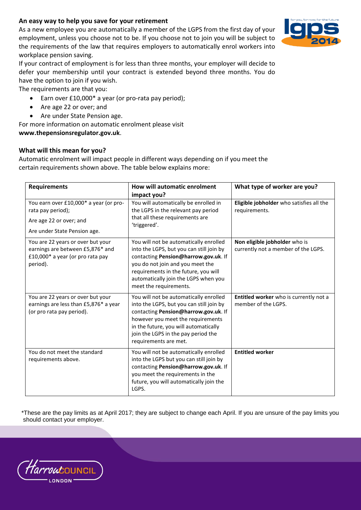## **An easy way to help you save for your retirement**

As a new employee you are automatically a member of the LGPS from the first day of your employment, unless you choose not to be. If you choose not to join you will be subject to the requirements of the law that requires employers to automatically enrol workers into workplace pension saving.

If your contract of employment is for less than three months, your employer will decide to defer your membership until your contract is extended beyond three months. You do have the option to join if you wish.

The requirements are that you:

- Earn over £10,000\* a year (or pro-rata pay period);
- Are age 22 or over; and
- Are under State Pension age.

For more information on automatic enrolment please visit

**www.thepensionsregulator.gov.uk**.

#### **What will this mean for you?**

Automatic enrolment will impact people in different ways depending on if you meet the certain requirements shown above. The table below explains more:

| <b>Requirements</b>                                                                                                    | How will automatic enrolment<br>impact you?                                                                                                                                                                                                                              | What type of worker are you?                                         |
|------------------------------------------------------------------------------------------------------------------------|--------------------------------------------------------------------------------------------------------------------------------------------------------------------------------------------------------------------------------------------------------------------------|----------------------------------------------------------------------|
| You earn over £10,000* a year (or pro-<br>rata pay period);<br>Are age 22 or over; and<br>Are under State Pension age. | You will automatically be enrolled in<br>the LGPS in the relevant pay period<br>that all these requirements are<br>'triggered'.                                                                                                                                          | Eligible jobholder who satisfies all the<br>requirements.            |
| You are 22 years or over but your<br>earnings are between £5,876* and<br>£10,000* a year (or pro rata pay<br>period).  | You will not be automatically enrolled<br>into the LGPS, but you can still join by<br>contacting Pension@harrow.gov.uk. If<br>you do not join and you meet the<br>requirements in the future, you will<br>automatically join the LGPS when you<br>meet the requirements. | Non eligible jobholder who is<br>currently not a member of the LGPS. |
| You are 22 years or over but your<br>earnings are less than £5,876* a year<br>(or pro rata pay period).                | You will not be automatically enrolled<br>into the LGPS, but you can still join by<br>contacting Pension@harrow.gov.uk. If<br>however you meet the requirements<br>in the future, you will automatically<br>join the LGPS in the pay period the<br>requirements are met. | <b>Entitled worker</b> who is currently not a<br>member of the LGPS. |
| You do not meet the standard<br>requirements above.                                                                    | You will not be automatically enrolled<br>into the LGPS but you can still join by<br>contacting Pension@harrow.gov.uk. If<br>you meet the requirements in the<br>future, you will automatically join the<br>LGPS.                                                        | <b>Entitled worker</b>                                               |

\*These are the pay limits as at April 2017; they are subject to change each April. If you are unsure of the pay limits you should contact your employer.



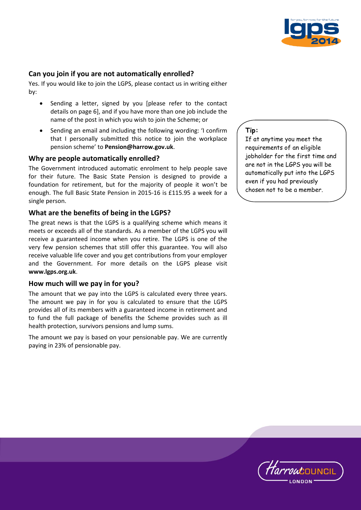

# **Can you join if you are not automatically enrolled?**

Yes. If you would like to join the LGPS, please contact us in writing either by:

- Sending a letter, signed by you [please refer to the contact details on page 6], and if you have more than one job include the name of the post in which you wish to join the Scheme; or
- Sending an email and including the following wording: 'I confirm that I personally submitted this notice to join the workplace pension scheme' to **Pension@harrow.gov.uk**.

#### **Why are people automatically enrolled?**

The Government introduced automatic enrolment to help people save for their future. The Basic State Pension is designed to provide a foundation for retirement, but for the majority of people it won't be enough. The full Basic State Pension in 2015-16 is £115.95 a week for a single person.

#### **What are the benefits of being in the LGPS?**

The great news is that the LGPS is a qualifying scheme which means it meets or exceeds all of the standards. As a member of the LGPS you will receive a guaranteed income when you retire. The LGPS is one of the very few pension schemes that still offer this guarantee. You will also receive valuable life cover and you get contributions from your employer and the Government. For more details on the LGPS please visit **www.lgps.org.uk**.

#### **How much will we pay in for you?**

The amount that we pay into the LGPS is calculated every three years. The amount we pay in for you is calculated to ensure that the LGPS provides all of its members with a guaranteed income in retirement and to fund the full package of benefits the Scheme provides such as ill health protection, survivors pensions and lump sums.

The amount we pay is based on your pensionable pay. We are currently paying in 23% of pensionable pay.

**Tip:** 

If at anytime you meet the requirements of an eligible jobholder for the first time and are not in the LGPS you will be automatically put into the LGPS even if you had previously chosen not to be a member.

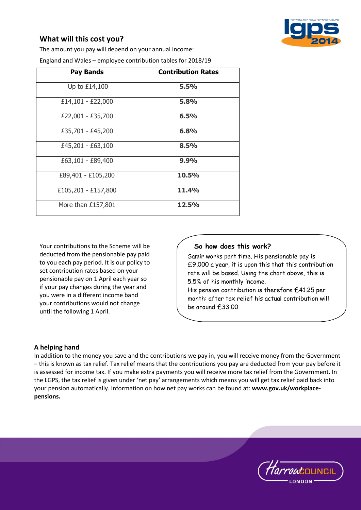# **What will this cost you?**

The amount you pay will depend on your annual income:

England and Wales – employee contribution tables for 2018/19

| <b>Pay Bands</b>    | <b>Contribution Rates</b> |
|---------------------|---------------------------|
| Up to £14,100       | 5.5%                      |
| £14,101 - £22,000   | 5.8%                      |
| £22,001 - £35,700   | 6.5%                      |
| £35,701 - £45,200   | 6.8%                      |
| £45,201 - £63,100   | 8.5%                      |
| £63,101 - £89,400   | 9.9%                      |
| £89,401 - £105,200  | 10.5%                     |
| £105,201 - £157,800 | 11.4%                     |
| More than £157,801  | 12.5%                     |

Your contributions to the Scheme will be deducted from the pensionable pay paid to you each pay period. It is our policy to set contribution rates based on your pensionable pay on 1 April each year so if your pay changes during the year and you were in a different income band your contributions would not change until the following 1 April.

## **So how does this work?**

Samir works part time. His pensionable pay is £9,000 a year, it is upon this that this contribution rate will be based. Using the chart above, this is 5.5% of his monthly income. His pension contribution is therefore £41.25 per

month: after tax relief his actual contribution will be around £33.00.

# **A helping hand**

In addition to the money you save and the contributions we pay in, you will receive money from the Government – this is known as tax relief. Tax relief means that the contributions you pay are deducted from your pay before it is assessed for income tax. If you make extra payments you will receive more tax relief from the Government. In the LGPS, the tax relief is given under 'net pay' arrangements which means you will get tax relief paid back into your pension automatically. Information on how net pay works can be found at: **www.gov.uk/workplacepensions.**

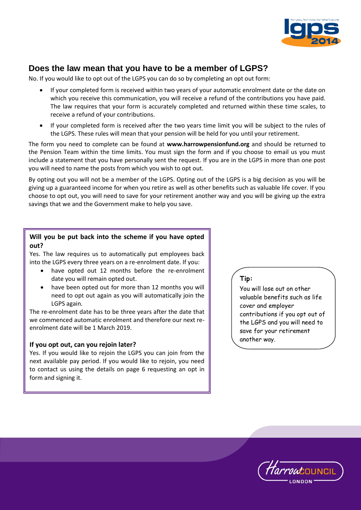

# **Does the law mean that you have to be a member of LGPS?**

No. If you would like to opt out of the LGPS you can do so by completing an opt out form:

- If your completed form is received within two years of your automatic enrolment date or the date on which you receive this communication, you will receive a refund of the contributions you have paid. The law requires that your form is accurately completed and returned within these time scales, to receive a refund of your contributions.
- If your completed form is received after the two years time limit you will be subject to the rules of the LGPS. These rules will mean that your pension will be held for you until your retirement.

The form you need to complete can be found at **www.harrowpensionfund.org** and should be returned to the Pension Team within the time limits. You must sign the form and if you choose to email us you must include a statement that you have personally sent the request. If you are in the LGPS in more than one post you will need to name the posts from which you wish to opt out.

By opting out you will not be a member of the LGPS. Opting out of the LGPS is a big decision as you will be giving up a guaranteed income for when you retire as well as other benefits such as valuable life cover. If you choose to opt out, you will need to save for your retirement another way and you will be giving up the extra savings that we and the Government make to help you save.

# **Will you be put back into the scheme if you have opted out?**

Yes. The law requires us to automatically put employees back into the LGPS every three years on a re-enrolment date. If you:

- have opted out 12 months before the re-enrolment date you will remain opted out.
- have been opted out for more than 12 months you will need to opt out again as you will automatically join the LGPS again.

The re-enrolment date has to be three years after the date that we commenced automatic enrolment and therefore our next reenrolment date will be 1 March 2019.

#### **If you opt out, can you rejoin later?**

Yes. If you would like to rejoin the LGPS you can join from the next available pay period. If you would like to rejoin, you need to contact us using the details on page 6 requesting an opt in form and signing it.

# **Tip:**

You will lose out on other valuable benefits such as life cover and employer contributions if you opt out of the LGPS and you will need to save for your retirement another way.